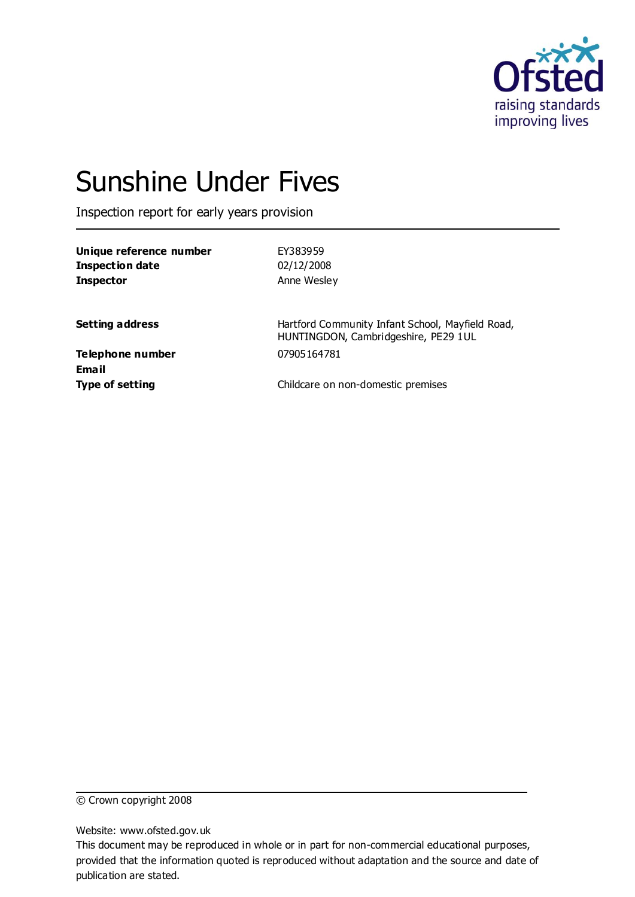

# Sunshine Under Fives

Inspection report for early years provision

| Unique reference number | EY383959    |  |
|-------------------------|-------------|--|
| <b>Inspection date</b>  | 02/12/2008  |  |
| <b>Inspector</b>        | Anne Wesley |  |
|                         |             |  |
|                         |             |  |

**Setting address** Hartford Community Infant School, Mayfield Road, HUNTINGDON, Cambridgeshire, PE29 1UL

**Telephone number** 07905164781 **Email**

**Type of setting** Childcare on non-domestic premises

© Crown copyright 2008

Website: www.ofsted.gov.uk

This document may be reproduced in whole or in part for non-commercial educational purposes, provided that the information quoted is reproduced without adaptation and the source and date of publication are stated.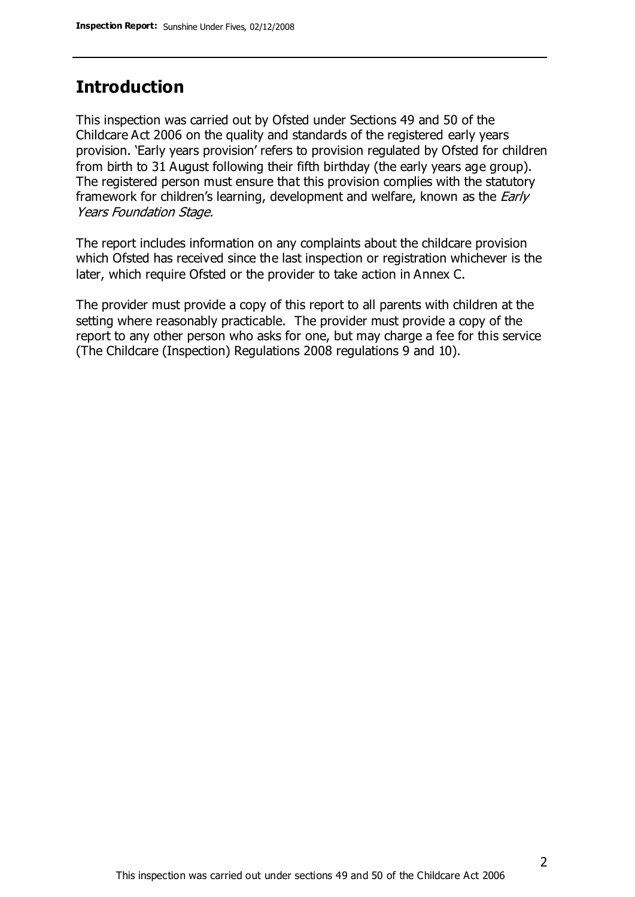#### **Introduction**

This inspection was carried out by Ofsted under Sections 49 and 50 of the Childcare Act 2006 on the quality and standards of the registered early years provision. 'Early years provision' refers to provision regulated by Ofsted for children from birth to 31 August following their fifth birthday (the early years age group). The registered person must ensure that this provision complies with the statutory framework for children's learning, development and welfare, known as the *Early* Years Foundation Stage.

The report includes information on any complaints about the childcare provision which Ofsted has received since the last inspection or registration whichever is the later, which require Ofsted or the provider to take action in Annex C.

The provider must provide a copy of this report to all parents with children at the setting where reasonably practicable. The provider must provide a copy of the report to any other person who asks for one, but may charge a fee for this service (The Childcare (Inspection) Regulations 2008 regulations 9 and 10).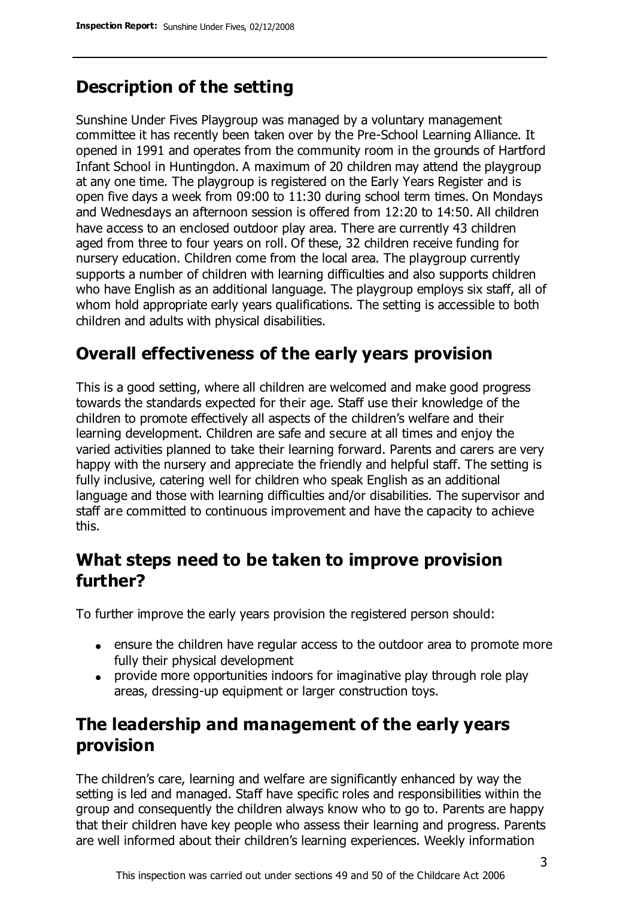# **Description of the setting**

Sunshine Under Fives Playgroup was managed by a voluntary management committee it has recently been taken over by the Pre-School Learning Alliance. It opened in 1991 and operates from the community room in the grounds of Hartford Infant School in Huntingdon. A maximum of 20 children may attend the playgroup at any one time. The playgroup is registered on the Early Years Register and is open five days a week from 09:00 to 11:30 during school term times. On Mondays and Wednesdays an afternoon session is offered from 12:20 to 14:50. All children have access to an enclosed outdoor play area. There are currently 43 children aged from three to four years on roll. Of these, 32 children receive funding for nursery education. Children come from the local area. The playgroup currently supports a number of children with learning difficulties and also supports children who have English as an additional language. The playgroup employs six staff, all of whom hold appropriate early years qualifications. The setting is accessible to both children and adults with physical disabilities.

# **Overall effectiveness of the early years provision**

This is a good setting, where all children are welcomed and make good progress towards the standards expected for their age. Staff use their knowledge of the children to promote effectively all aspects of the children's welfare and their learning development. Children are safe and secure at all times and enjoy the varied activities planned to take their learning forward. Parents and carers are very happy with the nursery and appreciate the friendly and helpful staff. The setting is fully inclusive, catering well for children who speak English as an additional language and those with learning difficulties and/or disabilities. The supervisor and staff are committed to continuous improvement and have the capacity to achieve this.

# **What steps need to be taken to improve provision further?**

To further improve the early years provision the registered person should:

- ensure the children have regular access to the outdoor area to promote more fully their physical development
- provide more opportunities indoors for imaginative play through role play areas, dressing-up equipment or larger construction toys.

# **The leadership and management of the early years provision**

The children's care, learning and welfare are significantly enhanced by way the setting is led and managed. Staff have specific roles and responsibilities within the group and consequently the children always know who to go to. Parents are happy that their children have key people who assess their learning and progress. Parents are well informed about their children's learning experiences. Weekly information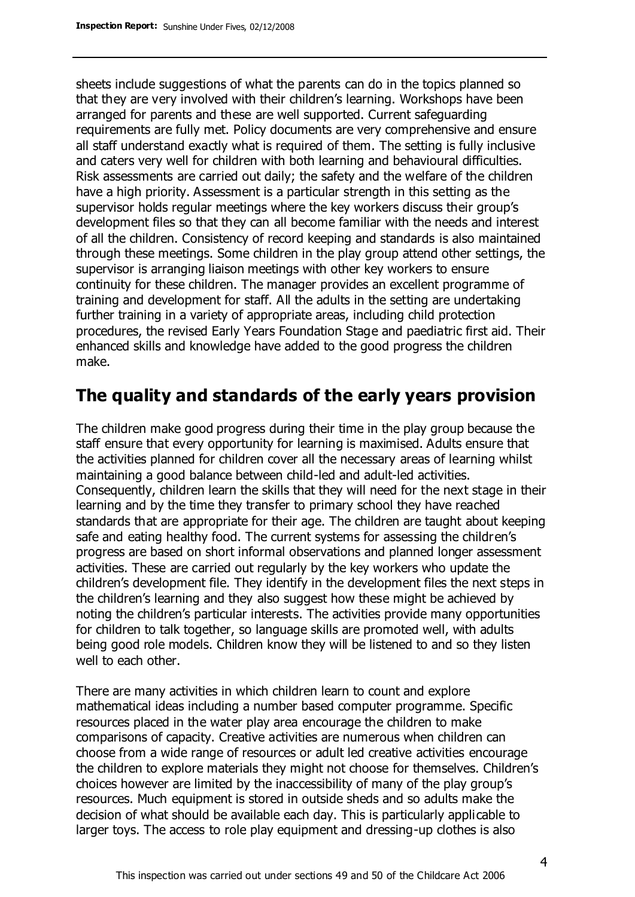sheets include suggestions of what the parents can do in the topics planned so that they are very involved with their children's learning. Workshops have been arranged for parents and these are well supported. Current safeguarding requirements are fully met. Policy documents are very comprehensive and ensure all staff understand exactly what is required of them. The setting is fully inclusive and caters very well for children with both learning and behavioural difficulties. Risk assessments are carried out daily; the safety and the welfare of the children have a high priority. Assessment is a particular strength in this setting as the supervisor holds regular meetings where the key workers discuss their group's development files so that they can all become familiar with the needs and interest of all the children. Consistency of record keeping and standards is also maintained through these meetings. Some children in the play group attend other settings, the supervisor is arranging liaison meetings with other key workers to ensure continuity for these children. The manager provides an excellent programme of training and development for staff. All the adults in the setting are undertaking further training in a variety of appropriate areas, including child protection procedures, the revised Early Years Foundation Stage and paediatric first aid. Their enhanced skills and knowledge have added to the good progress the children make.

#### **The quality and standards of the early years provision**

The children make good progress during their time in the play group because the staff ensure that every opportunity for learning is maximised. Adults ensure that the activities planned for children cover all the necessary areas of learning whilst maintaining a good balance between child-led and adult-led activities. Consequently, children learn the skills that they will need for the next stage in their learning and by the time they transfer to primary school they have reached standards that are appropriate for their age. The children are taught about keeping safe and eating healthy food. The current systems for assessing the children's progress are based on short informal observations and planned longer assessment activities. These are carried out regularly by the key workers who update the children's development file. They identify in the development files the next steps in the children's learning and they also suggest how these might be achieved by noting the children's particular interests. The activities provide many opportunities for children to talk together, so language skills are promoted well, with adults being good role models. Children know they will be listened to and so they listen well to each other.

There are many activities in which children learn to count and explore mathematical ideas including a number based computer programme. Specific resources placed in the water play area encourage the children to make comparisons of capacity. Creative activities are numerous when children can choose from a wide range of resources or adult led creative activities encourage the children to explore materials they might not choose for themselves. Children's choices however are limited by the inaccessibility of many of the play group's resources. Much equipment is stored in outside sheds and so adults make the decision of what should be available each day. This is particularly applicable to larger toys. The access to role play equipment and dressing-up clothes is also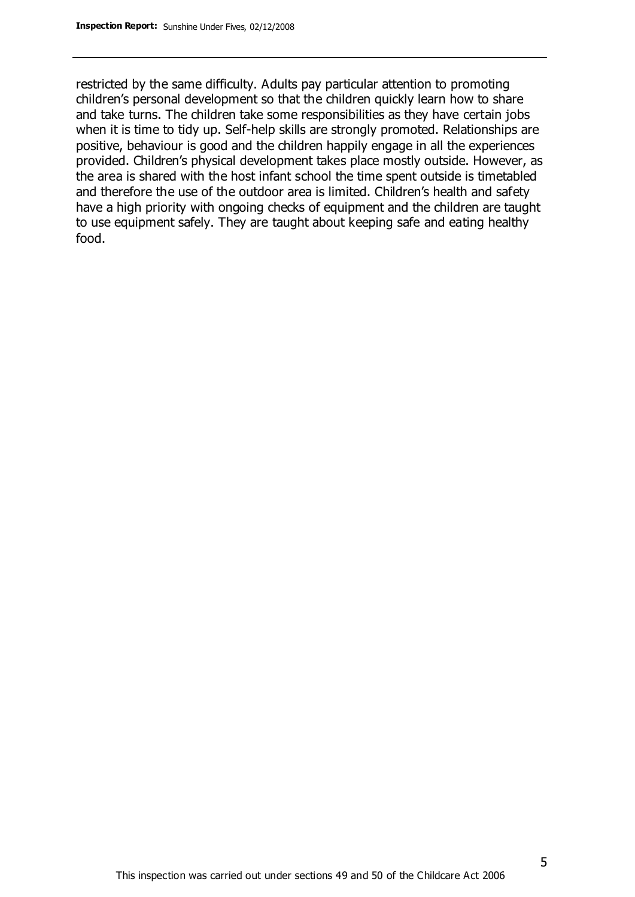restricted by the same difficulty. Adults pay particular attention to promoting children's personal development so that the children quickly learn how to share and take turns. The children take some responsibilities as they have certain jobs when it is time to tidy up. Self-help skills are strongly promoted. Relationships are positive, behaviour is good and the children happily engage in all the experiences provided. Children's physical development takes place mostly outside. However, as the area is shared with the host infant school the time spent outside is timetabled and therefore the use of the outdoor area is limited. Children's health and safety have a high priority with ongoing checks of equipment and the children are taught to use equipment safely. They are taught about keeping safe and eating healthy food.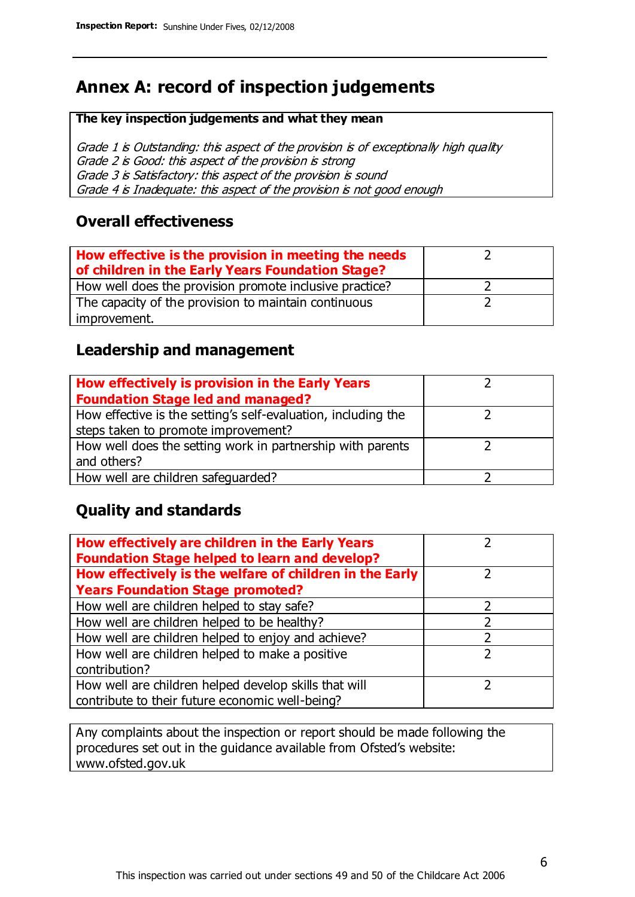# **Annex A: record of inspection judgements**

#### **The key inspection judgements and what they mean**

Grade 1 is Outstanding: this aspect of the provision is of exceptionally high quality Grade 2 is Good: this aspect of the provision is strong Grade 3 is Satisfactory: this aspect of the provision is sound Grade 4 is Inadequate: this aspect of the provision is not good enough

#### **Overall effectiveness**

| How effective is the provision in meeting the needs<br>of children in the Early Years Foundation Stage? |  |
|---------------------------------------------------------------------------------------------------------|--|
| How well does the provision promote inclusive practice?                                                 |  |
| The capacity of the provision to maintain continuous                                                    |  |
| improvement.                                                                                            |  |

#### **Leadership and management**

| How effectively is provision in the Early Years               |  |
|---------------------------------------------------------------|--|
| <b>Foundation Stage led and managed?</b>                      |  |
| How effective is the setting's self-evaluation, including the |  |
| steps taken to promote improvement?                           |  |
| How well does the setting work in partnership with parents    |  |
| and others?                                                   |  |
| How well are children safequarded?                            |  |

#### **Quality and standards**

| How effectively are children in the Early Years<br><b>Foundation Stage helped to learn and develop?</b> |   |
|---------------------------------------------------------------------------------------------------------|---|
| How effectively is the welfare of children in the Early                                                 |   |
| <b>Years Foundation Stage promoted?</b>                                                                 |   |
| How well are children helped to stay safe?                                                              |   |
| How well are children helped to be healthy?                                                             |   |
| How well are children helped to enjoy and achieve?                                                      | 2 |
| How well are children helped to make a positive                                                         | っ |
| contribution?                                                                                           |   |
| How well are children helped develop skills that will                                                   |   |
| contribute to their future economic well-being?                                                         |   |

Any complaints about the inspection or report should be made following the procedures set out in the guidance available from Ofsted's website: www.ofsted.gov.uk